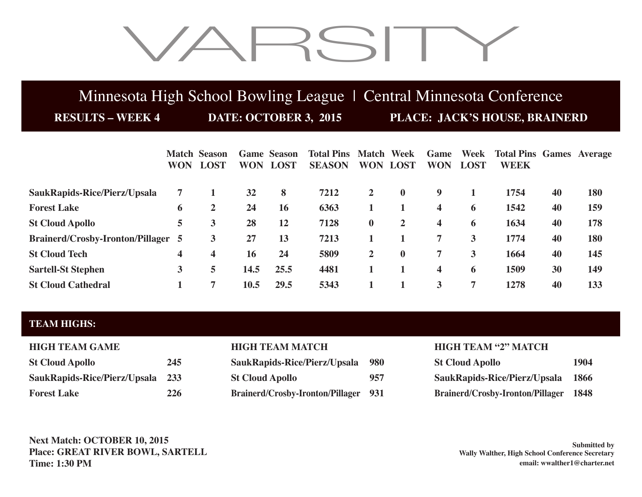# VARSITY

## Minnesota High School Bowling League | Central Minnesota Conference

**RESULTS – WEEK 4 DATE: OCTOBER 3, 2015 PLACE: JACK'S HOUSE, BRAINERD**

|                                           | <b>WON</b> | <b>Match Season</b> | <b>WON</b> | <b>Game Season</b><br><b>LOST</b> | <b>Total Pins</b><br><b>SEASON</b> | <b>Match</b><br><b>WON</b> | Week<br><b>LOST</b> | Game<br><b>WON</b>      | Week<br><b>LOST</b> | <b>Total Pins Games Average</b><br>WEEK |    |     |
|-------------------------------------------|------------|---------------------|------------|-----------------------------------|------------------------------------|----------------------------|---------------------|-------------------------|---------------------|-----------------------------------------|----|-----|
|                                           |            | <b>LOST</b>         |            |                                   |                                    |                            |                     |                         |                     |                                         |    |     |
| SaukRapids-Rice/Pierz/Upsala              | 7          |                     | 32         | 8                                 | 7212                               | $\overline{2}$             | $\mathbf{0}$        | 9                       |                     | 1754                                    | 40 | 180 |
| <b>Forest Lake</b>                        | 6          | 2                   | 24         | 16                                | 6363                               |                            |                     | $\overline{\mathbf{4}}$ | 6                   | 1542                                    | 40 | 159 |
| <b>St Cloud Apollo</b>                    | 5          | 3                   | 28         | 12                                | 7128                               | $\bf{0}$                   | $\overline{2}$      | $\overline{\mathbf{4}}$ | 6                   | 1634                                    | 40 | 178 |
| <b>Brainerd/Crosby-Ironton/Pillager 5</b> |            | 3                   | 27         | 13                                | 7213                               |                            |                     | 7                       | 3                   | 1774                                    | 40 | 180 |
| <b>St Cloud Tech</b>                      | 4          | 4                   | 16         | 24                                | 5809                               | $\overline{2}$             | $\bf{0}$            | 7                       | 3                   | 1664                                    | 40 | 145 |
| <b>Sartell-St Stephen</b>                 | 3          | 5                   | 14.5       | 25.5                              | 4481                               |                            |                     | $\overline{\mathbf{4}}$ | 6                   | 1509                                    | 30 | 149 |
| <b>St Cloud Cathedral</b>                 |            | ៗ                   | 10.5       | 29.5                              | 5343                               |                            |                     | 3                       | 7                   | 1278                                    | 40 | 133 |

### **TEAM HIGHS:**

| <b>HIGH TEAM GAME</b>            |     |
|----------------------------------|-----|
| <b>St Cloud Apollo</b>           | 245 |
| SaukRapids-Rice/Pierz/Upsala 233 |     |
| <b>Forest Lake</b>               | 226 |

| <b>St Cloud Apollo</b>           | 245 | SaukRapids-Rice/Pierz/Upsala 980            |     | <b>St Cloud Apollo</b>                       | 1904 |
|----------------------------------|-----|---------------------------------------------|-----|----------------------------------------------|------|
| SaukRapids-Rice/Pierz/Upsala 233 |     | <b>St Cloud Apollo</b>                      | 957 | SaukRapids-Rice/Pierz/Upsala                 | 1866 |
| <b>Forest Lake</b>               | 226 | <b>Brainerd/Crosby-Ironton/Pillager 931</b> |     | <b>Brainerd/Crosby-Ironton/Pillager 1848</b> |      |

### **HIGH TEAM MATCH HIGH TEAM "2" MATCH**

| <b>St Cloud Apollo</b>           | 1904        |
|----------------------------------|-------------|
| SaukRapids-Rice/Pierz/Upsala     | 1866        |
| Brainerd/Crosby-Ironton/Pillager | <b>1848</b> |

**Next Match: OCTOBER 10, 2015 Place: GREAT RIVER BOWL, SARTELL Time: 1:30 PM**